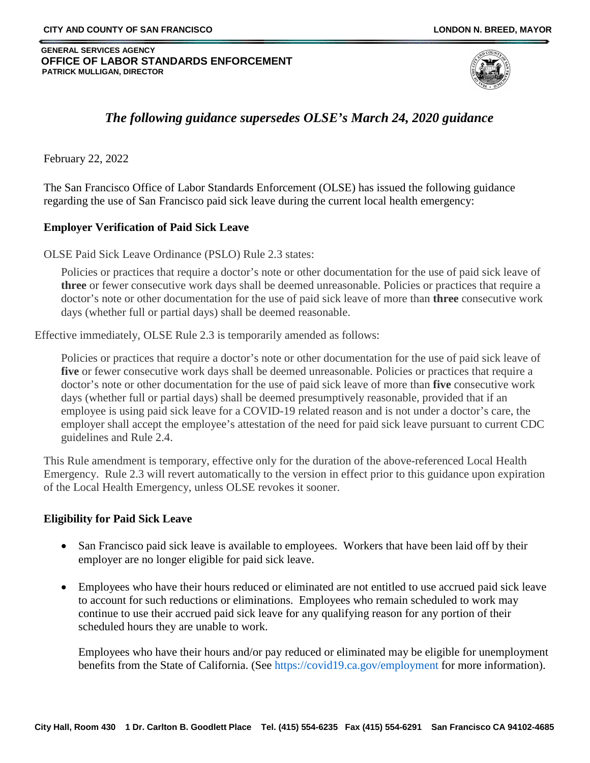#### **GENERAL SERVICES AGENCY OFFICE OF LABOR STANDARDS ENFORCEMENT PATRICK MULLIGAN, DIRECTOR**



# *The following guidance supersedes OLSE's March 24, 2020 guidance*

February 22, 2022

The San Francisco Office of Labor Standards Enforcement (OLSE) has issued the following guidance regarding the use of San Francisco paid sick leave during the current local health emergency:

### **Employer Verification of Paid Sick Leave**

OLSE Paid Sick Leave Ordinance (PSLO) Rule 2.3 states:

Policies or practices that require a doctor's note or other documentation for the use of paid sick leave of **three** or fewer consecutive work days shall be deemed unreasonable. Policies or practices that require a doctor's note or other documentation for the use of paid sick leave of more than **three** consecutive work days (whether full or partial days) shall be deemed reasonable.

Effective immediately, OLSE Rule 2.3 is temporarily amended as follows:

Policies or practices that require a doctor's note or other documentation for the use of paid sick leave of **five** or fewer consecutive work days shall be deemed unreasonable. Policies or practices that require a doctor's note or other documentation for the use of paid sick leave of more than **five** consecutive work days (whether full or partial days) shall be deemed presumptively reasonable, provided that if an employee is using paid sick leave for a COVID-19 related reason and is not under a doctor's care, the employer shall accept the employee's attestation of the need for paid sick leave pursuant to current CDC guidelines and Rule 2.4.

This Rule amendment is temporary, effective only for the duration of the above-referenced Local Health Emergency. Rule 2.3 will revert automatically to the version in effect prior to this guidance upon expiration of the Local Health Emergency, unless OLSE revokes it sooner.

#### **Eligibility for Paid Sick Leave**

- San Francisco paid sick leave is available to employees. Workers that have been laid off by their employer are no longer eligible for paid sick leave.
- Employees who have their hours reduced or eliminated are not entitled to use accrued paid sick leave to account for such reductions or eliminations. Employees who remain scheduled to work may continue to use their accrued paid sick leave for any qualifying reason for any portion of their scheduled hours they are unable to work.

Employees who have their hours and/or pay reduced or eliminated may be eligible for unemployment benefits from the State of California. (See<https://covid19.ca.gov/employment> for more information).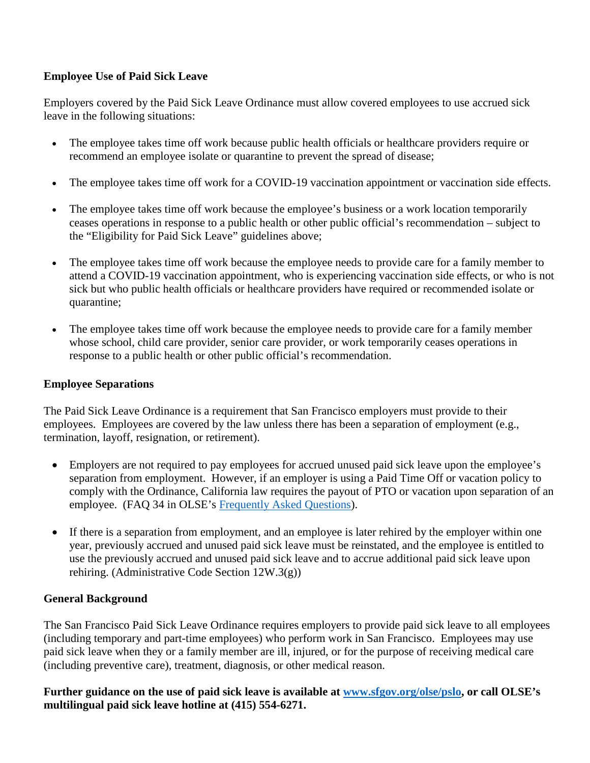### **Employee Use of Paid Sick Leave**

Employers covered by the Paid Sick Leave Ordinance must allow covered employees to use accrued sick leave in the following situations:

- The employee takes time off work because public health officials or healthcare providers require or recommend an employee isolate or quarantine to prevent the spread of disease;
- The employee takes time off work for a COVID-19 vaccination appointment or vaccination side effects.
- The employee takes time off work because the employee's business or a work location temporarily ceases operations in response to a public health or other public official's recommendation – subject to the "Eligibility for Paid Sick Leave" guidelines above;
- The employee takes time off work because the employee needs to provide care for a family member to attend a COVID-19 vaccination appointment, who is experiencing vaccination side effects, or who is not sick but who public health officials or healthcare providers have required or recommended isolate or quarantine;
- The employee takes time off work because the employee needs to provide care for a family member whose school, child care provider, senior care provider, or work temporarily ceases operations in response to a public health or other public official's recommendation.

### **Employee Separations**

The Paid Sick Leave Ordinance is a requirement that San Francisco employers must provide to their employees. Employees are covered by the law unless there has been a separation of employment (e.g., termination, layoff, resignation, or retirement).

- Employers are not required to pay employees for accrued unused paid sick leave upon the employee's separation from employment. However, if an employer is using a Paid Time Off or vacation policy to comply with the Ordinance, California law requires the payout of PTO or vacation upon separation of an employee. (FAQ 34 in OLSE's [Frequently Asked Questions\)](https://sfgov.org/olse/paid-sick-leave-ordinance-pslo).
- If there is a separation from employment, and an employee is later rehired by the employer within one year, previously accrued and unused paid sick leave must be reinstated, and the employee is entitled to use the previously accrued and unused paid sick leave and to accrue additional paid sick leave upon rehiring. (Administrative Code Section 12W.3(g))

## **General Background**

The San Francisco Paid Sick Leave Ordinance requires employers to provide paid sick leave to all employees (including temporary and part-time employees) who perform work in San Francisco. Employees may use paid sick leave when they or a family member are ill, injured, or for the purpose of receiving medical care (including preventive care), treatment, diagnosis, or other medical reason.

**Further guidance on the use of paid sick leave is available at [www.sfgov.org/olse/pslo,](http://www.sfgov.org/olse/pslo) or call OLSE's multilingual paid sick leave hotline at (415) 554-6271.**